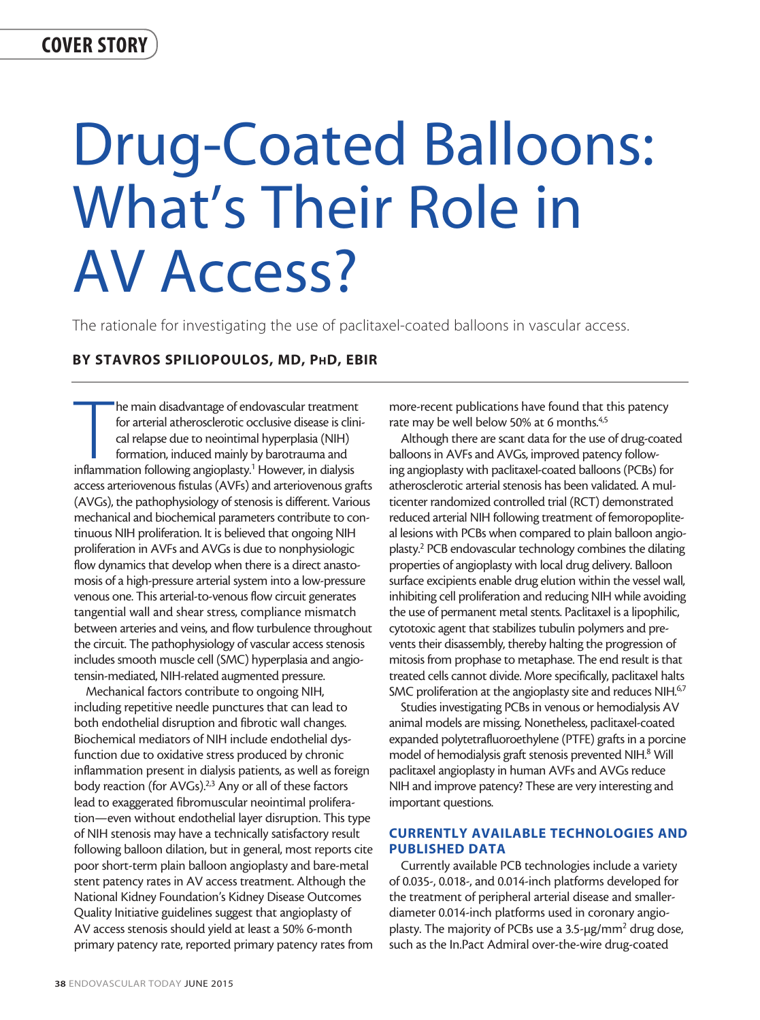# Drug-Coated Balloons: What's Their Role in AV Access?

The rationale for investigating the use of paclitaxel-coated balloons in vascular access.

# BY STAVROS SPILIOPOULOS, MD, PhD, EBIR

The main disadvantage of endovascular treatment<br>for arterial atherosclerotic occlusive disease is clin<br>cal relapse due to neointimal hyperplasia (NIH)<br>formation, induced mainly by barotrauma and<br>inflammation following angi he main disadvantage of endovascular treatment for arterial atherosclerotic occlusive disease is clinical relapse due to neointimal hyperplasia (NIH) formation, induced mainly by barotrauma and access arteriovenous fistulas (AVFs) and arteriovenous grafts (AVGs), the pathophysiology of stenosis is different. Various mechanical and biochemical parameters contribute to continuous NIH proliferation. It is believed that ongoing NIH proliferation in AVFs and AVGs is due to nonphysiologic flow dynamics that develop when there is a direct anastomosis of a high-pressure arterial system into a low-pressure venous one. This arterial-to-venous flow circuit generates tangential wall and shear stress, compliance mismatch between arteries and veins, and flow turbulence throughout the circuit. The pathophysiology of vascular access stenosis includes smooth muscle cell (SMC) hyperplasia and angiotensin-mediated, NIH-related augmented pressure.

Mechanical factors contribute to ongoing NIH, including repetitive needle punctures that can lead to both endothelial disruption and fibrotic wall changes. Biochemical mediators of NIH include endothelial dysfunction due to oxidative stress produced by chronic inflammation present in dialysis patients, as well as foreign body reaction (for AVGs).<sup>2,3</sup> Any or all of these factors lead to exaggerated fibromuscular neointimal proliferation—even without endothelial layer disruption. This type of NIH stenosis may have a technically satisfactory result following balloon dilation, but in general, most reports cite poor short-term plain balloon angioplasty and bare-metal stent patency rates in AV access treatment. Although the National Kidney Foundation's Kidney Disease Outcomes Quality Initiative guidelines suggest that angioplasty of AV access stenosis should yield at least a 50% 6-month primary patency rate, reported primary patency rates from more-recent publications have found that this patency rate may be well below 50% at 6 months.<sup>4,5</sup>

Although there are scant data for the use of drug-coated balloons in AVFs and AVGs, improved patency following angioplasty with paclitaxel-coated balloons (PCBs) for atherosclerotic arterial stenosis has been validated. A multicenter randomized controlled trial (RCT) demonstrated reduced arterial NIH following treatment of femoropopliteal lesions with PCBs when compared to plain balloon angioplasty.2 PCB endovascular technology combines the dilating properties of angioplasty with local drug delivery. Balloon surface excipients enable drug elution within the vessel wall, inhibiting cell proliferation and reducing NIH while avoiding the use of permanent metal stents. Paclitaxel is a lipophilic, cytotoxic agent that stabilizes tubulin polymers and prevents their disassembly, thereby halting the progression of mitosis from prophase to metaphase. The end result is that treated cells cannot divide. More specifically, paclitaxel halts SMC proliferation at the angioplasty site and reduces NIH.<sup>67</sup>

Studies investigating PCBs in venous or hemodialysis AV animal models are missing. Nonetheless, paclitaxel-coated expanded polytetrafluoroethylene (PTFE) grafts in a porcine model of hemodialysis graft stenosis prevented NIH.<sup>8</sup> Will paclitaxel angioplasty in human AVFs and AVGs reduce NIH and improve patency? These are very interesting and important questions.

# CURRENTLY AVAILABLE TECHNOLOGIES AND PUBLISHED DATA

Currently available PCB technologies include a variety of 0.035-, 0.018-, and 0.014-inch platforms developed for the treatment of peripheral arterial disease and smallerdiameter 0.014-inch platforms used in coronary angioplasty. The majority of PCBs use a 3.5-µg/mm<sup>2</sup> drug dose, such as the In.Pact Admiral over-the-wire drug-coated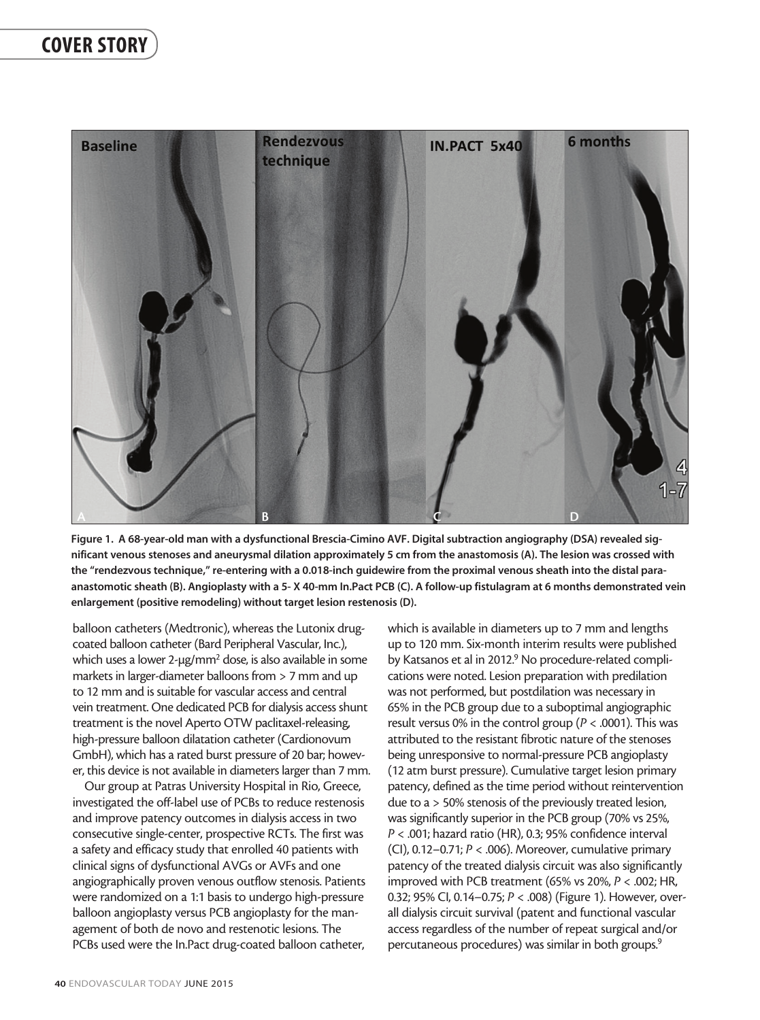

Figure 1. A 68-year-old man with a dysfunctional Brescia-Cimino AVF. Digital subtraction angiography (DSA) revealed significant venous stenoses and aneurysmal dilation approximately 5 cm from the anastomosis (A). The lesion was crossed with the "rendezvous technique," re-entering with a 0.018-inch guidewire from the proximal venous sheath into the distal paraanastomotic sheath (B). Angioplasty with a 5- X 40-mm In.Pact PCB (C). A follow-up fistulagram at 6 months demonstrated vein enlargement (positive remodeling) without target lesion restenosis (D).

balloon catheters (Medtronic), whereas the Lutonix drugcoated balloon catheter (Bard Peripheral Vascular, Inc.), which uses a lower 2-μg/mm<sup>2</sup> dose, is also available in some markets in larger-diameter balloons from > 7 mm and up to 12 mm and is suitable for vascular access and central vein treatment. One dedicated PCB for dialysis access shunt treatment is the novel Aperto OTW paclitaxel-releasing, high-pressure balloon dilatation catheter (Cardionovum GmbH), which has a rated burst pressure of 20 bar; however, this device is not available in diameters larger than 7 mm.

Our group at Patras University Hospital in Rio, Greece, investigated the off-label use of PCBs to reduce restenosis and improve patency outcomes in dialysis access in two consecutive single-center, prospective RCTs. The first was a safety and efficacy study that enrolled 40 patients with clinical signs of dysfunctional AVGs or AVFs and one angiographically proven venous outflow stenosis. Patients were randomized on a 1:1 basis to undergo high-pressure balloon angioplasty versus PCB angioplasty for the management of both de novo and restenotic lesions. The PCBs used were the In.Pact drug-coated balloon catheter,

which is available in diameters up to 7 mm and lengths up to 120 mm. Six-month interim results were published by Katsanos et al in 2012.<sup>9</sup> No procedure-related complications were noted. Lesion preparation with predilation was not performed, but postdilation was necessary in 65% in the PCB group due to a suboptimal angiographic result versus 0% in the control group (*P* < .0001). This was attributed to the resistant fibrotic nature of the stenoses being unresponsive to normal-pressure PCB angioplasty (12 atm burst pressure). Cumulative target lesion primary patency, defined as the time period without reintervention due to a > 50% stenosis of the previously treated lesion, was significantly superior in the PCB group (70% vs 25%, *P* < .001; hazard ratio (HR), 0.3; 95% confidence interval (CI), 0.12–0.71; *P* < .006). Moreover, cumulative primary patency of the treated dialysis circuit was also significantly improved with PCB treatment (65% vs 20%, *P* < .002; HR, 0.32; 95% CI, 0.14–0.75; *P* < .008) (Figure 1). However, overall dialysis circuit survival (patent and functional vascular access regardless of the number of repeat surgical and/or percutaneous procedures) was similar in both groups.<sup>9</sup>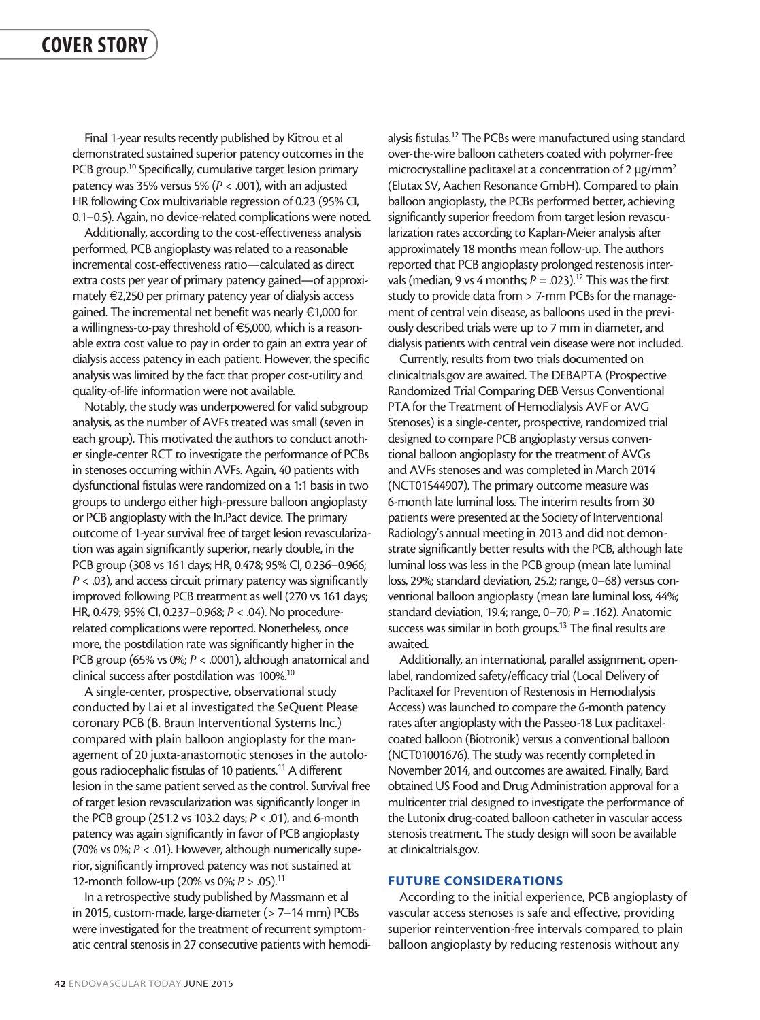Final 1-year results recently published by Kitrou et al demonstrated sustained superior patency outcomes in the PCB group.<sup>10</sup> Specifically, cumulative target lesion primary patency was 35% versus 5% (*P* < .001), with an adjusted HR following Cox multivariable regression of 0.23 (95% CI, 0.1–0.5). Again, no device-related complications were noted.

Additionally, according to the cost-effectiveness analysis performed, PCB angioplasty was related to a reasonable incremental cost-effectiveness ratio—calculated as direct extra costs per year of primary patency gained—of approximately €2,250 per primary patency year of dialysis access gained. The incremental net benefit was nearly €1,000 for a willingness-to-pay threshold of €5,000, which is a reasonable extra cost value to pay in order to gain an extra year of dialysis access patency in each patient. However, the specific analysis was limited by the fact that proper cost-utility and quality-of-life information were not available.

Notably, the study was underpowered for valid subgroup analysis, as the number of AVFs treated was small (seven in each group). This motivated the authors to conduct another single-center RCT to investigate the performance of PCBs in stenoses occurring within AVFs. Again, 40 patients with dysfunctional fistulas were randomized on a 1:1 basis in two groups to undergo either high-pressure balloon angioplasty or PCB angioplasty with the In.Pact device. The primary outcome of 1-year survival free of target lesion revascularization was again significantly superior, nearly double, in the PCB group (308 vs 161 days; HR, 0.478; 95% CI, 0.236–0.966; *P* < .03), and access circuit primary patency was significantly improved following PCB treatment as well (270 vs 161 days; HR, 0.479; 95% CI, 0.237–0.968; *P* < .04). No procedurerelated complications were reported. Nonetheless, once more, the postdilation rate was significantly higher in the PCB group (65% vs 0%;  $P < .0001$ ), although anatomical and clinical success after postdilation was 100%.10

A single-center, prospective, observational study conducted by Lai et al investigated the SeQuent Please coronary PCB (B. Braun Interventional Systems Inc.) compared with plain balloon angioplasty for the management of 20 juxta-anastomotic stenoses in the autologous radiocephalic fistulas of 10 patients.11 A different lesion in the same patient served as the control. Survival free of target lesion revascularization was significantly longer in the PCB group (251.2 vs 103.2 days; *P* < .01), and 6-month patency was again significantly in favor of PCB angioplasty (70% vs 0%; *P* < .01). However, although numerically superior, significantly improved patency was not sustained at 12-month follow-up (20% vs 0%; *P* > .05).11

In a retrospective study published by Massmann et al in 2015, custom-made, large-diameter (> 7–14 mm) PCBs were investigated for the treatment of recurrent symptomatic central stenosis in 27 consecutive patients with hemodialysis fistulas.<sup>12</sup> The PCBs were manufactured using standard over-the-wire balloon catheters coated with polymer-free microcrystalline paclitaxel at a concentration of 2 μg/mm<sup>2</sup> (Elutax SV, Aachen Resonance GmbH). Compared to plain balloon angioplasty, the PCBs performed better, achieving significantly superior freedom from target lesion revascularization rates according to Kaplan-Meier analysis after approximately 18 months mean follow-up. The authors reported that PCB angioplasty prolonged restenosis intervals (median, 9 vs 4 months;  $P = .023$ ).<sup>12</sup> This was the first study to provide data from > 7-mm PCBs for the management of central vein disease, as balloons used in the previously described trials were up to 7 mm in diameter, and dialysis patients with central vein disease were not included.

Currently, results from two trials documented on clinicaltrials.gov are awaited. The DEBAPTA (Prospective Randomized Trial Comparing DEB Versus Conventional PTA for the Treatment of Hemodialysis AVF or AVG Stenoses) is a single-center, prospective, randomized trial designed to compare PCB angioplasty versus conventional balloon angioplasty for the treatment of AVGs and AVFs stenoses and was completed in March 2014 (NCT01544907). The primary outcome measure was 6-month late luminal loss. The interim results from 30 patients were presented at the Society of Interventional Radiology's annual meeting in 2013 and did not demonstrate significantly better results with the PCB, although late luminal loss was less in the PCB group (mean late luminal loss, 29%; standard deviation, 25.2; range, 0–68) versus conventional balloon angioplasty (mean late luminal loss, 44%; standard deviation, 19.4; range, 0–70; *P* = .162). Anatomic success was similar in both groups.<sup>13</sup> The final results are awaited.

Additionally, an international, parallel assignment, openlabel, randomized safety/efficacy trial (Local Delivery of Paclitaxel for Prevention of Restenosis in Hemodialysis Access) was launched to compare the 6-month patency rates after angioplasty with the Passeo-18 Lux paclitaxelcoated balloon (Biotronik) versus a conventional balloon (NCT01001676). The study was recently completed in November 2014, and outcomes are awaited. Finally, Bard obtained US Food and Drug Administration approval for a multicenter trial designed to investigate the performance of the Lutonix drug-coated balloon catheter in vascular access stenosis treatment. The study design will soon be available at clinicaltrials.gov.

### FUTURE CONSIDERATIONS

According to the initial experience, PCB angioplasty of vascular access stenoses is safe and effective, providing superior reintervention-free intervals compared to plain balloon angioplasty by reducing restenosis without any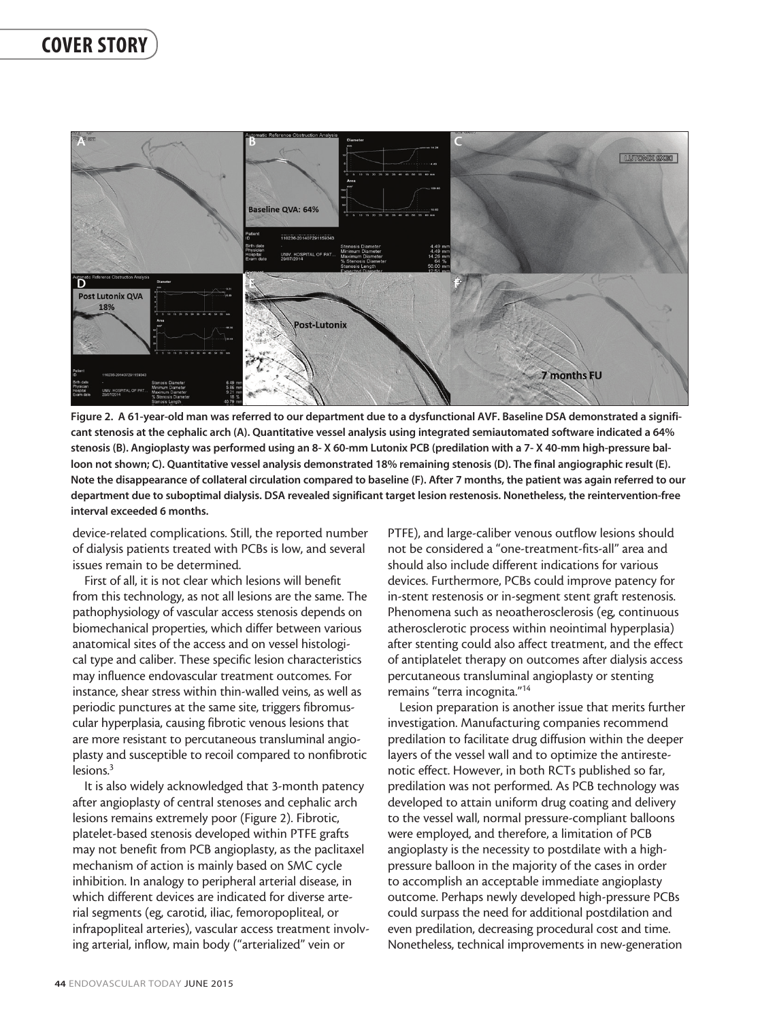

Figure 2. A 61-year-old man was referred to our department due to a dysfunctional AVF. Baseline DSA demonstrated a significant stenosis at the cephalic arch (A). Quantitative vessel analysis using integrated semiautomated software indicated a 64% stenosis (B). Angioplasty was performed using an 8- X 60-mm Lutonix PCB (predilation with a 7- X 40-mm high-pressure balloon not shown; C). Quantitative vessel analysis demonstrated 18% remaining stenosis (D). The final angiographic result (E). Note the disappearance of collateral circulation compared to baseline (F). After 7 months, the patient was again referred to our department due to suboptimal dialysis. DSA revealed significant target lesion restenosis. Nonetheless, the reintervention-free interval exceeded 6 months.

device-related complications. Still, the reported number of dialysis patients treated with PCBs is low, and several issues remain to be determined.

First of all, it is not clear which lesions will benefit from this technology, as not all lesions are the same. The pathophysiology of vascular access stenosis depends on biomechanical properties, which differ between various anatomical sites of the access and on vessel histological type and caliber. These specific lesion characteristics may influence endovascular treatment outcomes. For instance, shear stress within thin-walled veins, as well as periodic punctures at the same site, triggers fibromuscular hyperplasia, causing fibrotic venous lesions that are more resistant to percutaneous transluminal angioplasty and susceptible to recoil compared to nonfibrotic lesions.<sup>3</sup>

It is also widely acknowledged that 3-month patency after angioplasty of central stenoses and cephalic arch lesions remains extremely poor (Figure 2). Fibrotic, platelet-based stenosis developed within PTFE grafts may not benefit from PCB angioplasty, as the paclitaxel mechanism of action is mainly based on SMC cycle inhibition. In analogy to peripheral arterial disease, in which different devices are indicated for diverse arterial segments (eg, carotid, iliac, femoropopliteal, or infrapopliteal arteries), vascular access treatment involving arterial, inflow, main body ("arterialized" vein or

PTFE), and large-caliber venous outflow lesions should not be considered a "one-treatment-fits-all" area and should also include different indications for various devices. Furthermore, PCBs could improve patency for in-stent restenosis or in-segment stent graft restenosis. Phenomena such as neoatherosclerosis (eg, continuous atherosclerotic process within neointimal hyperplasia) after stenting could also affect treatment, and the effect of antiplatelet therapy on outcomes after dialysis access percutaneous transluminal angioplasty or stenting remains "terra incognita."14

Lesion preparation is another issue that merits further investigation. Manufacturing companies recommend predilation to facilitate drug diffusion within the deeper layers of the vessel wall and to optimize the antirestenotic effect. However, in both RCTs published so far, predilation was not performed. As PCB technology was developed to attain uniform drug coating and delivery to the vessel wall, normal pressure-compliant balloons were employed, and therefore, a limitation of PCB angioplasty is the necessity to postdilate with a highpressure balloon in the majority of the cases in order to accomplish an acceptable immediate angioplasty outcome. Perhaps newly developed high-pressure PCBs could surpass the need for additional postdilation and even predilation, decreasing procedural cost and time. Nonetheless, technical improvements in new-generation